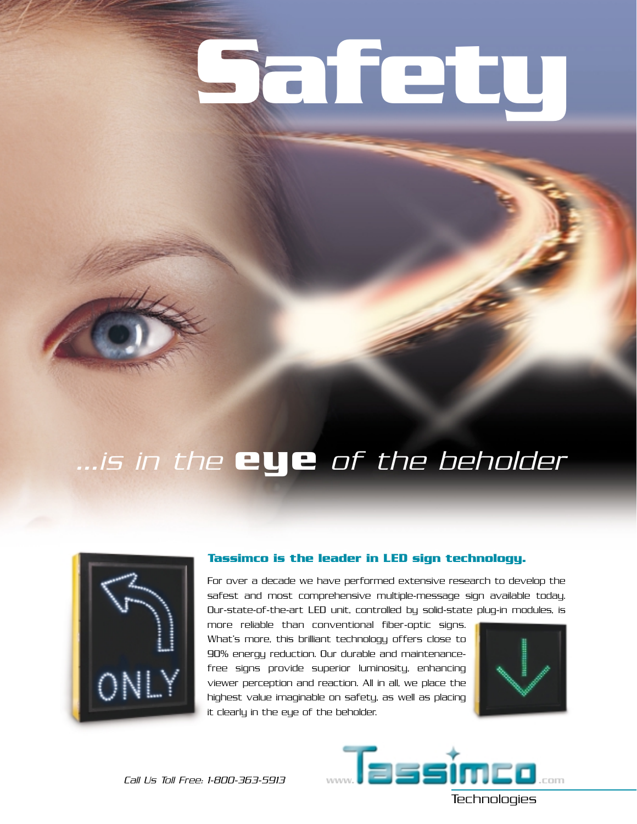# **Safety**

### ...is in the **eye** of the beholder



#### **Tassimco is the leader in LED sign technology.**

For over a decade we have performed extensive research to develop the safest and most comprehensive multiple-message sign available today. Our-state-of-the-art LED unit, controlled by solid-state plug-in modules, is

more reliable than conventional fiber-optic signs. What's more, this brilliant technology offers close to 90% energy reduction. Our durable and maintenancefree signs provide superior luminosity, enhancing viewer perception and reaction. All in all, we place the highest value imaginable on safety, as well as placing it clearly in the eye of the beholder.